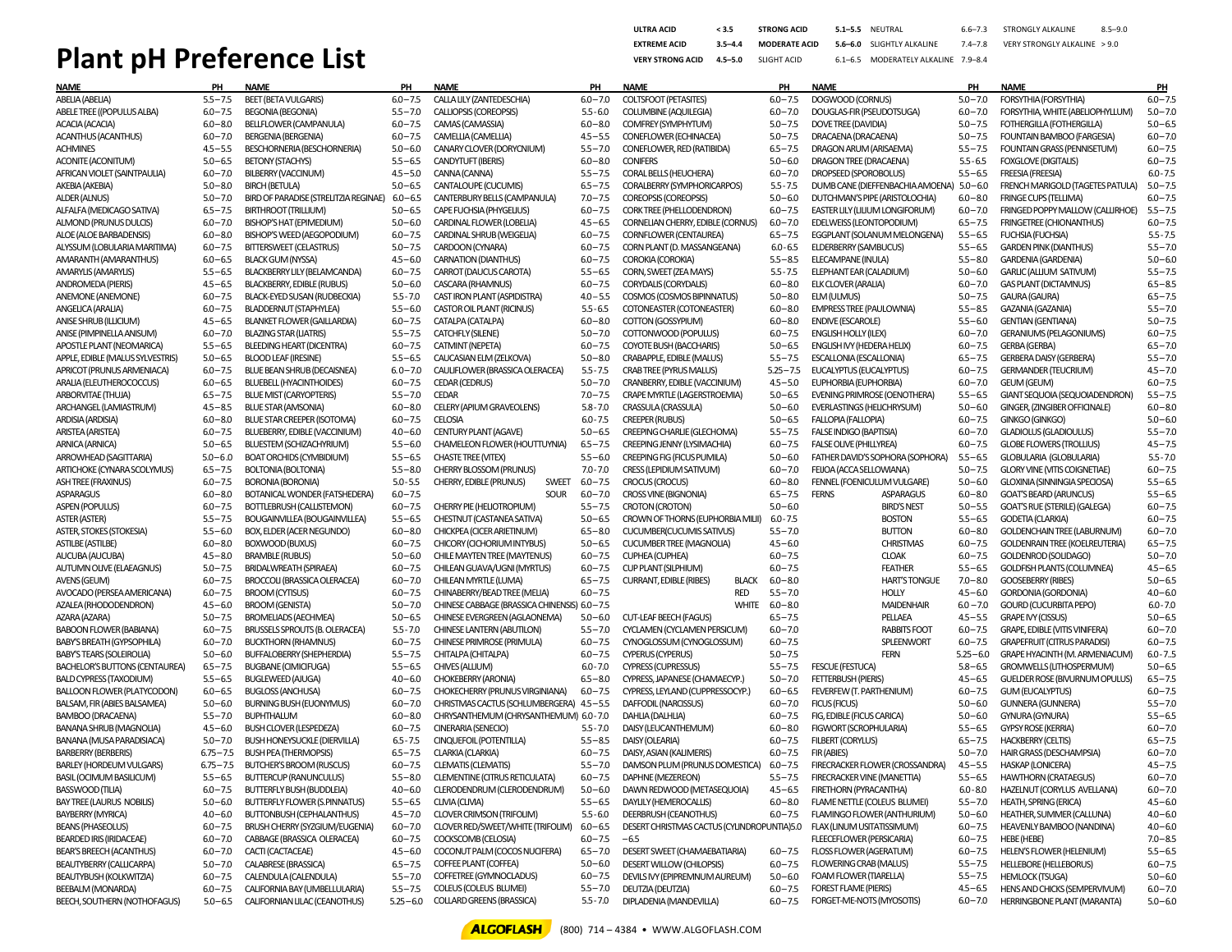## **Plant pH Preference List**

| <b>ULTRA ACID</b>       | < 3.5       | <b>STRONG ACID</b>   | $5.1 - 5.5$ | NFUTRAL                             | $66 - 73$ | STRONGLY ALKALINE            | $8.5 - 9.0$ |
|-------------------------|-------------|----------------------|-------------|-------------------------------------|-----------|------------------------------|-------------|
| <b>EXTREME ACID</b>     | $3.5 - 4.4$ | <b>MODERATE ACID</b> |             | 5.6-6.0 SLIGHTLY ALKALINE           | 74-78     | VERY STRONGLY ALKALINE > 9.0 |             |
| <b>VERY STRONG ACID</b> | $4.5 - 5.0$ | SLIGHT ACID          |             | 6.1-6.5 MODERATELY ALKALINE 7.9-8.4 |           |                              |             |

| Name                                  | PН           | <b>NAME</b>                           | PH           | <b>NAME</b>                                  | PH          | <b>NAME</b>                                    | PН           | <b>NAME</b>                             | PH           | name                                  | PH          |
|---------------------------------------|--------------|---------------------------------------|--------------|----------------------------------------------|-------------|------------------------------------------------|--------------|-----------------------------------------|--------------|---------------------------------------|-------------|
| ABELIA (ABELIA)                       | $5.5 - 7.5$  | <b>BEET (BETA VULGARIS)</b>           | $6.0 - 7.5$  | CALLA LILY (ZANTEDESCHIA)                    | $6.0 - 7.0$ | COLTSFOOT (PETASITES)                          | $6.0 - 7.5$  | DOGWOOD (CORNUS)                        | $5.0 - 7.0$  | <b>FORSYTHIA (FORSYTHIA)</b>          | $6.0 - 7.5$ |
| ABELE TREE ((POPULUS ALBA)            | $6.0 - 7.5$  | <b>BEGONIA (BEGONIA)</b>              | $5.5 - 7.0$  | CALLIOPSIS (COREOPSIS)                       | $5.5 - 6.0$ | COLUMBINE (AQUILEGIA)                          | $6.0 - 7.0$  | DOUGLAS-FIR (PSEUDOTSUGA)               | $6.0 - 7.0$  | FORSYTHIA, WHITE (ABELIOPHYLLUM)      | $5.0 - 7.0$ |
| ACACIA (ACACIA)                       | $6.0 - 8.0$  | BELLFLOWER (CAMPANULA)                | $6.0 - 7.5$  | CAMAS (CAMASSIA)                             | $6.0 - 8.0$ | COMFREY (SYMPHYTUM)                            | $5.0 - 7.5$  | <b>DOVE TREE (DAVIDIA)</b>              | $5.0 - 7.5$  | FOTHERGILLA (FOTHERGILLA)             | $5.0 - 6.5$ |
|                                       |              |                                       |              |                                              |             |                                                |              |                                         |              |                                       |             |
| <b>ACANTHUS (ACANTHUS)</b>            | $6.0 - 7.0$  | <b>BERGENIA (BERGENIA)</b>            | $6.0 - 7.5$  | CAMELLIA (CAMELLIA)                          | $4.5 - 5.5$ | CONEFLOWER (ECHINACEA)                         | $5.0 - 7.5$  | DRACAENA (DRACAENA)                     | $5.0 - 7.5$  | <b>FOUNTAIN BAMBOO (FARGESIA)</b>     | $6.0 - 7.0$ |
| <b>ACHMINES</b>                       | $4.5 - 5.5$  | <b>BESCHORNERIA (BESCHORNERIA)</b>    | $5.0 - 6.0$  | CANARY CLOVER (DORYCNIUM)                    | $5.5 - 7.0$ | CONEFLOWER, RED (RATIBIDA)                     | $6.5 - 7.5$  | DRAGON ARUM (ARISAEMA)                  | $5.5 - 7.5$  | <b>FOUNTAIN GRASS (PENNISETUM)</b>    | $6.0 - 7.5$ |
| <b>ACONITE (ACONITUM)</b>             | $5.0 - 6.5$  | <b>BETONY (STACHYS)</b>               | $5.5 - 6.5$  | CANDYTUFT (IBERIS)                           | $6.0 - 8.0$ | <b>CONIFERS</b>                                | $5.0 - 6.0$  | DRAGON TREE (DRACAENA)                  | $5.5 - 6.5$  | <b>FOXGLOVE (DIGITALIS)</b>           | $6.0 - 7.5$ |
| AFRICAN VIOLET (SAINTPAULIA)          | $6.0 - 7.0$  | BILBERRY (VACCINUM)                   | $4.5 - 5.0$  | CANNA (CANNA)                                | $5.5 - 7.5$ | <b>CORAL BELLS (HEUCHERA)</b>                  | $6.0 - 7.0$  | DROPSEED (SPOROBOLUS)                   | $5.5 - 6.5$  | <b>FREESIA (FREESIA)</b>              | $6.0 - 7.5$ |
| AKEBIA (AKEBIA)                       | $5.0 - 8.0$  | <b>BIRCH (BETULA)</b>                 | $5.0 - 6.5$  | CANTALOUPE (CUCUMIS)                         | $6.5 - 7.5$ | CORALBERRY (SYMPHORICARPOS)                    | $5.5 - 7.5$  | DUMB CANE (DIEFFENBACHIA AMOENA)        | $5.0 - 6.0$  | FRENCH MARIGOLD (TAGETES PATULA)      | $5.0 - 7.5$ |
| ALDER (ALNUS)                         | $5.0 - 7.0$  | BIRD OF PARADISE (STRELITZIA REGINAE) | $6.0 - 6.5$  | CANTERBURY BELLS (CAMPANULA)                 | $7.0 - 7.5$ | <b>COREOPSIS (COREOPSIS)</b>                   | $5.0 - 6.0$  | DUTCHMAN'S PIPE (ARISTOLOCHIA)          | $6.0 - 8.0$  | <b>FRINGE CUPS (TELLIMA)</b>          | $6.0 - 7.5$ |
| ALFALFA (MEDICAGO SATIVA)             | $6.5 - 7.5$  | BIRTHROOT (TRILLIUM)                  | $5.0 - 6.5$  | CAPE FUCHSIA (PHYGELIUS)                     | $6.0 - 7.5$ | <b>CORK TREE (PHELLODENDRON)</b>               | $6.0 - 7.5$  | EASTER LILY (LILIUM LONGIFORUM)         | $6.0 - 7.0$  | FRINGED POPPY MALLOW (CALLIRHOE)      | $5.5 - 7.5$ |
| ALMOND (PRUNUS DULCIS)                | $6.0 - 7.0$  | <b>BISHOP'S HAT (EPIMEDIUM)</b>       | $5.0 - 6.0$  | CARDINAL FLOWER (LOBELIA                     | $4.5 - 6.5$ | CORNELIAN CHERRY, EDIBLE (CORNUS)              | $6.0 - 7.0$  |                                         | $6.5 - 7.5$  | <b>FRINGETREE (CHIONANTHUS)</b>       | $6.0 - 7.5$ |
|                                       |              |                                       |              |                                              |             |                                                |              | EDELWEISS (LEONTOPODIUM)                |              |                                       |             |
| ALOE (ALOE BARBADENSIS)               | $6.0 - 8.0$  | <b>BISHOP'S WEED (AEGOPODIUM)</b>     | $6.0 - 7.5$  | CARDINAL SHRUB (WEIGELIA)                    | $6.0 - 7.5$ | CORNFLOWER (CENTAUREA)                         | $6.5 - 7.5$  | EGGPLANT (SOLANUM MELONGENA)            | $5.5 - 6.5$  | FUCHSIA (FUCHSIA)                     | $5.5 - 7.5$ |
| ALYSSUM (LOBULARIA MARITIMA)          | $6.0 - 7.5$  | BITTERSWEET (CELASTRUS)               | $5.0 - 7.5$  | CARDOON (CYNARA)                             | $6.0 - 7.5$ | CORN PLANT (D. MASSANGEANA)                    | $6.0 - 6.5$  | ELDERBERRY (SAMBUCUS)                   | $5.5 - 6.5$  | <b>GARDEN PINK (DIANTHUS)</b>         | $5.5 - 7.0$ |
| AMARANTH (AMARANTHUS)                 | $6.0 - 6.5$  | <b>BLACK GUM (NYSSA)</b>              | $4.5 - 6.0$  | <b>CARNATION (DIANTHUS)</b>                  | $6.0 - 7.5$ | <b>COROKIA (COROKIA)</b>                       | $5.5 - 8.5$  | ELECAMPANE (INULA)                      | $5.5 - 8.0$  | <b>GARDENIA (GARDENIA)</b>            | $5.0 - 6.0$ |
| AMARYLIS (AMARYLIS)                   | $5.5 - 6.5$  | <b>BLACKBERRY LILY (BELAMCANDA)</b>   | $6.0 - 7.5$  | CARROT (DAUCUS CAROTA)                       | $5.5 - 6.5$ | CORN, SWEET (ZEA MAYS)                         | $5.5 - 7.5$  | ELEPHANT EAR (CALADIUM)                 | $5.0 - 6.0$  | <b>GARLIC (ALLIUM SATIVUM)</b>        | $5.5 - 7.5$ |
| <b>ANDROMEDA (PIERIS)</b>             | $4.5 - 6.5$  | <b>BLACKBERRY, EDIBLE (RUBUS)</b>     | $5.0 - 6.0$  | CASCARA (RHAMNUS)                            | $6.0 - 7.5$ | <b>CORYDALIS (CORYDALIS)</b>                   | $6.0 - 8.0$  | ELK CLOVER (ARALIA)                     | $6.0 - 7.0$  | <b>GAS PLANT (DICTAMNUS)</b>          | $6.5 - 8.5$ |
| <b>ANEMONE (ANEMONE)</b>              | $6.0 - 7.5$  | <b>BLACK-EYED SUSAN (RUDBECKIA)</b>   | $5.5 - 7.0$  | CAST IRON PLANT (ASPIDISTRA)                 | $4.0 - 5.5$ | COSMOS (COSMOS BIPINNATUS)                     | $5.0 - 8.0$  | ELM (ULMUS)                             | $5.0 - 7.5$  | GAURA (GAURA)                         | $6.5 - 7.5$ |
| ANGELICA (ARALIA)                     | $6.0 - 7.5$  | <b>BLADDERNUT (STAPHYLEA)</b>         | $5.5 - 6.0$  | CASTOR OIL PLANT (RICINUS)                   | $5.5 - 6.5$ | COTONEASTER (COTONEASTER)                      | $6.0 - 8.0$  | <b>EMPRESS TREE (PAULOWNIA)</b>         | $5.5 - 8.5$  | GAZANIA (GAZANIA)                     | $5.5 - 7.0$ |
| ANISE SHRUB (ILLICIUM)                | $4.5 - 6.5$  | <b>BLANKET FLOWER (GAILLARDIA)</b>    | $6.0 - 7.5$  | CATALPA (CATALPA)                            | $6.0 - 8.0$ | COTTON (GOSSYPIUM)                             | $6.0 - 8.0$  | <b>ENDIVE (ESCAROLE)</b>                | $5.5 - 6.0$  | <b>GENTIAN (GENTIANA)</b>             | $5.0 - 7.5$ |
|                                       |              |                                       |              |                                              |             |                                                |              |                                         |              |                                       |             |
| ANISE (PIMPINELLA ANISUM)             | $6.0 - 7.0$  | <b>BLAZING STAR (LIATRIS)</b>         | $5.5 - 7.5$  | <b>CATCHFLY (SILENE)</b>                     | $5.0 - 7.0$ | COTTONWOOD (POPULUS)                           | $6.0 - 7.5$  | <b>ENGLISH HOLLY (ILEX)</b>             | $6.0 - 7.0$  | <b>GERANIUMS (PELAGONIUMS)</b>        | $6.0 - 7.5$ |
| APOSTLE PLANT (NEOMARICA)             | $5.5 - 6.5$  | <b>BLEEDING HEART (DICENTRA)</b>      | $6.0 - 7.5$  | CATMINT (NEPETA)                             | $6.0 - 7.5$ | COYOTE BUSH (BACCHARIS)                        | $5.0 - 6.5$  | ENGLISH IVY (HEDERA HELIX)              | $6.0 - 7.5$  | <b>GERBA (GERBA)</b>                  | $6.5 - 7.0$ |
| APPLE, EDIBLE (MALUS SYLVESTRIS)      | $5.0 - 6.5$  | <b>BLOOD LEAF (IRESINE)</b>           | $5.5 - 6.5$  | CAUCASIAN ELM (ZELKOVA)                      | $5.0 - 8.0$ | CRABAPPLE, EDIBLE (MALUS)                      | $5.5 - 7.5$  | <b>ESCALLONIA (ESCALLONIA)</b>          | $6.5 - 7.5$  | <b>GERBERA DAISY (GERBERA)</b>        | $5.5 - 7.0$ |
| APRICOT (PRUNUS ARMENIACA)            | $6.0 - 7.5$  | <b>BLUE BEAN SHRUB (DECAISNEA)</b>    | $6.0 - 7.0$  | CAULIFLOWER (BRASSICA OLERACEA)              | $5.5 - 7.5$ | CRAB TREE (PYRUS MALUS)                        | $5.25 - 7.5$ | EUCALYPTUS (EUCALYPTUS)                 | $6.0 - 7.5$  | <b>GERMANDER (TEUCRIUM)</b>           | $4.5 - 7.0$ |
| ARALIA (ELEUTHEROCOCCUS)              | $6.0 - 6.5$  | <b>BLUEBELL (HYACINTHOIDES)</b>       | $6.0 - 7.5$  | <b>CEDAR (CEDRUS)</b>                        | $5.0 - 7.0$ | CRANBERRY, EDIBLE (VACCINIUM)                  | $4.5 - 5.0$  | EUPHORBIA (EUPHORBIA)                   | $6.0 - 7.0$  | <b>GEUM (GEUM)</b>                    | $6.0 - 7.5$ |
| ARBORVITAE (THUJA)                    | $6.5 - 7.5$  | <b>BLUE MIST (CARYOPTERIS)</b>        | $5.5 - 7.0$  | <b>CEDAR</b>                                 | $7.0 - 7.5$ | CRAPE MYRTLE (LAGERSTROEMIA)                   | $5.0 - 6.5$  | <b>EVENING PRIMROSE (OENOTHERA)</b>     | $5.5 - 6.5$  | GIANT SEQUOIA (SEQUOIADENDRON)        | $5.5 - 7.5$ |
| ARCHANGEL (LAMIASTRUM)                | $4.5 - 8.5$  | <b>BLUE STAR (AMSONIA)</b>            | $6.0 - 8.0$  | CELERY (APIUM GRAVEOLENS)                    | $5.8 - 7.0$ | CRASSULA (CRASSULA)                            | $5.0 - 6.0$  | <b>EVERLASTINGS (HELICHRYSUM)</b>       | $5.0 - 6.0$  | GINGER, (ZINGIBER OFFICINALE)         | $6.0 - 8.0$ |
| ARDISIA (ARDISIA)                     | $6.0 - 8.0$  | <b>BLUE STAR CREEPER (ISOTOMA)</b>    | $6.0 - 7.5$  | <b>CELOSIA</b>                               | $6.0 - 7.5$ | <b>CREEPER (RUBUS)</b>                         | $5.0 - 6.5$  | <b>FALLOPIA (FALLOPIA)</b>              | $6.0 - 7.5$  | <b>GINKGO (GINKGO)</b>                | $5.0 - 6.0$ |
|                                       |              |                                       |              |                                              |             |                                                |              |                                         |              |                                       |             |
| ARISTEA (ARISTEA)                     | $6.0 - 7.5$  | BLUEBERRY, EDIBLE (VACCINIUM)         | $4.0 - 6.0$  | CENTURY PLANT (AGAVE)                        | $5.0 - 6.5$ | <b>CREEPING CHARLIE (GLECHOMA)</b>             | $5.5 - 7.5$  | <b>FALSE INDIGO (BAPTISIA)</b>          | $6.0 - 7.0$  | <b>GLADIOLUS (GLADIOULUS)</b>         | $5.5 - 7.0$ |
| ARNICA (ARNICA)                       | $5.0 - 6.5$  | BLUESTEM (SCHIZACHYRIUM)              | $5.5 - 6.0$  | CHAMELEON FLOWER (HOUTTUYNIA)                | $6.5 - 7.5$ | CREEPING JENNY (LYSIMACHIA)                    | $6.0 - 7.5$  | <b>FALSE OUVE (PHILLYREA)</b>           | $6.0 - 7.5$  | <b>GLOBE FLOWERS (TROLLIUS)</b>       | $4.5 - 7.5$ |
| ARROWHEAD (SAGITTARIA)                | $5.0 - 6.0$  | <b>BOAT ORCHIDS (CYMBIDIUM)</b>       | $5.5 - 6.5$  | <b>CHASTE TREE (VITEX)</b>                   | $5.5 - 6.0$ | <b>CREEPING FIG (FICUS PUMILA)</b>             | $5.0 - 6.0$  | <b>FATHER DAVID'S SOPHORA (SOPHORA)</b> | $5.5 - 6.5$  | GLOBULARIA (GLOBULARIA)               | $5.5 - 7.0$ |
| ARTICHOKE (CYNARA SCOLYMUS)           | $6.5 - 7.5$  | <b>BOLTONIA (BOLTONIA)</b>            | $5.5 - 8.0$  | CHERRY BLOSSOM (PRUNUS)                      | $7.0 - 7.0$ | <b>CRESS (LEPIDIUM SATIVUM)</b>                | $6.0 - 7.0$  | FEIJOA (ACCA SELLOWIANA)                | $5.0 - 7.5$  | <b>GLORY VINE (VITIS COIGNETIAE)</b>  | $6.0 - 7.5$ |
| <b>ASH TREE (FRAXINUS)</b>            | $6.0 - 7.5$  | <b>BORONIA (BORONIA)</b>              | $5.0 - 5.5$  | CHERRY, EDIBLE (PRUNUS)<br><b>SWEET</b>      | $6.0 - 7.5$ | <b>CROCUS (CROCUS)</b>                         | $6.0 - 8.0$  | FENNEL (FOENICULUM VULGARE)             | $5.0 - 6.0$  | <b>GLOXINIA (SINNINGIA SPECIOSA)</b>  | $5.5 - 6.5$ |
| <b>ASPARAGUS</b>                      | $6.0 - 8.0$  | BOTANICAL WONDER (FATSHEDERA)         | $6.0 - 7.5$  | <b>SOUR</b>                                  | $6.0 - 7.0$ | <b>CROSS VINE (BIGNONIA)</b>                   | $6.5 - 7.5$  | <b>FERNS</b><br><b>ASPARAGUS</b>        | $6.0 - 8.0$  | <b>GOAT'S BEARD (ARUNCUS)</b>         | $5.5 - 6.5$ |
| <b>ASPEN (POPULUS)</b>                | $6.0 - 7.5$  | BOTTLEBRUSH (CALLISTEMON)             | $6.0 - 7.5$  | CHERRY PIE (HELIOTROPIUM)                    | $5.5 - 7.5$ | CROTON (CROTON)                                | $5.0 - 6.0$  | <b>BIRD'S NEST</b>                      | $5.0 - 5.5$  | GOAT'S RUE (STERILE) (GALEGA)         | $6.0 - 7.5$ |
| <b>ASTER (ASTER)</b>                  | $5.5 - 7.5$  | <b>BOUGAINVILLEA (BOUGAINVILLEA)</b>  | $5.5 - 6.5$  | CHESTNUT (CASTANEA SATIVA)                   | $5.0 - 6.5$ | CROWN OF THORNS (EUPHORBIA MILII)              | $6.0 - 7.5$  | <b>BOSTON</b>                           | $5.5 - 6.5$  | <b>GODETIA (CLARKIA)</b>              | $6.0 - 7.5$ |
|                                       |              |                                       |              |                                              |             |                                                |              |                                         |              |                                       |             |
| <b>ASTER, STOKES (STOKESIA)</b>       | $5.5 - 6.0$  | BOX, ELDER (ACER NEGUNDO)             | $6.0 - 8.0$  | CHICKPEA (CICER ARIETINUM)                   | $6.5 - 8.0$ | CUCUMBER(CUCUMIS SATIVUS)                      | $5.5 - 7.0$  | <b>BUTTON</b>                           | $6.0 - 8.0$  | <b>GOLDENCHAIN TREE (LABURNUM)</b>    | $6.0 - 7.0$ |
| <b>ASTILBE (ASTILBE)</b>              | $6.0 - 8.0$  | BOXWOOD (BUXUS)                       | $6.0 - 7.5$  | CHICORY (CICHORIUM INTYBUS)                  | $5.0 - 6.5$ | <b>CUCUMBER TREE (MAGNOLIA)</b>                | $4.5 - 6.0$  | <b>CHRISTMAS</b>                        | $6.0 - 7.5$  | <b>GOLDENRAIN TREE (KOELREUTERIA)</b> | $6.5 - 7.5$ |
| AUCUBA (AUCUBA)                       | $4.5 - 8.0$  | <b>BRAMBLE (RUBUS)</b>                | $5.0 - 6.0$  | CHILE MAYTEN TREE (MAYTENUS)                 | $6.0 - 7.5$ | <b>CUPHEA (CUPHEA)</b>                         | $6.0 - 7.5$  | <b>CLOAK</b>                            | $6.0 - 7.5$  | <b>GOLDENROD (SOLIDAGO)</b>           | $5.0 - 7.0$ |
| AUTUMN OLIVE (ELAEAGNUS)              | $5.0 - 7.5$  | <b>BRIDALWREATH (SPIRAEA)</b>         | $6.0 - 7.5$  | CHILEAN GUAVA/UGNI (MYRTUS)                  | $6.0 - 7.5$ | <b>CUP PLANT (SILPHIUM)</b>                    | $6.0 - 7.5$  | <b>FEATHER</b>                          | $5.5 - 6.5$  | <b>GOLDFISH PLANTS (COLUMNEA)</b>     | $4.5 - 6.5$ |
| AVENS (GEUM)                          | $6.0 - 7.5$  | <b>BROCCOLI (BRASSICA OLERACEA)</b>   | $6.0 - 7.0$  | CHILEAN MYRTLE (LUMA)                        | $6.5 - 7.5$ | <b>CURRANT, EDIBLE (RIBES)</b><br><b>BLACK</b> | $6.0 - 8.0$  | <b>HART'S TONGUE</b>                    | $7.0 - 8.0$  | <b>GOOSEBERRY (RIBES)</b>             | $5.0 - 6.5$ |
| AVOCADO (PERSEA AMERICANA)            | $6.0 - 7.5$  | <b>BROOM (CYTISUS)</b>                | $6.0 - 7.5$  | CHINABERRY/BEAD TREE (MELIA)                 | $6.0 - 7.5$ | <b>RED</b>                                     | $5.5 - 7.0$  | <b>HOLLY</b>                            | $4.5 - 6.0$  | <b>GORDONIA (GORDONIA)</b>            | $4.0 - 6.0$ |
| AZALEA (RHODODENDRON)                 | $4.5 - 6.0$  | <b>BROOM (GENISTA)</b>                | $5.0 - 7.0$  | CHINESE CABBAGE (BRASSICA CHINENSIS) 6.0-7.5 |             | <b>WHITE</b>                                   | $6.0 - 8.0$  | <b>MAIDENHAIR</b>                       | $6.0 - 7.0$  | <b>GOURD (CUCURBITA PEPO)</b>         | $6.0 - 7.0$ |
| AZARA (AZARA)                         | $5.0 - 7.5$  | <b>BROMELIADS (AECHMEA)</b>           | $5.0 - 6.5$  | CHINESE EVERGREEN (AGLAONEMA)                | $5.0 - 6.0$ | <b>CUT-LEAF BEECH (FAGUS)</b>                  | $6.5 - 7.5$  | PELLAEA                                 | $4.5 - 5.5$  | <b>GRAPE IVY (CISSUS)</b>             | $5.0 - 6.5$ |
|                                       | $6.0 - 7.5$  |                                       |              |                                              |             |                                                |              |                                         | $6.0 - 7.5$  |                                       | $6.0 - 7.0$ |
| <b>BABOON FLOWER (BABIANA)</b>        |              | BRUSSELS SPROUTS (B. OLERACEA)        | $5.5 - 7.0$  | <b>CHINESE LANTERN (ABUTILON)</b>            | $5.5 - 7.0$ | CYCLAMEN (CYCLAMEN PERSICUM)                   | $6.0 - 7.0$  | RABBITS FOOT                            |              | <b>GRAPE, EDIBLE (VITIS VINIFERA)</b> |             |
| <b>BABY'S BREATH (GYPSOPHILA)</b>     | $6.0 - 7.0$  | <b>BUCKTHORN (RHAMNUS)</b>            | $6.0 - 7.5$  | CHINESE PRIMROSE (PRIMULA)                   | $6.0 - 7.5$ | CYNOGLOSSUM (CYNOGLOSSUM)                      | $6.0 - 7.5$  | <b>SPLEENWORT</b>                       | $6.0 - 7.5$  | <b>GRAPEFRUIT (CITRUS PARADISI)</b>   | $6.0 - 7.5$ |
| <b>BABY'S TEARS (SOLEIROLIA)</b>      | $5.0 - 6.0$  | <b>BUFFALOBERRY (SHEPHERDIA)</b>      | $5.5 - 7.5$  | CHITALPA (CHITALPA)                          | $6.0 - 7.5$ | <b>CYPERUS (CYPERUS)</b>                       | $5.0 - 7.5$  | <b>FERN</b>                             | $5.25 - 6.0$ | GRAPE HYACINTH (M. ARMENIACUM)        | $6.0 - 7.5$ |
| <b>BACHELOR'S BUTTONS (CENTAUREA)</b> | $6.5 - 7.5$  | <b>BUGBANE (CIMICIFUGA)</b>           | $5.5 - 6.5$  | CHIVES (ALLIUM)                              | $6.0 - 7.0$ | <b>CYPRESS (CUPRESSUS)</b>                     | $5.5 - 7.5$  | <b>FESCUE (FESTUCA)</b>                 | $5.8 - 6.5$  | <b>GROMWELLS (LITHOSPERMUM)</b>       | $5.0 - 6.5$ |
| <b>BALD CYPRESS (TAXODIUM)</b>        | $5.5 - 6.5$  | <b>BUGLEWEED (AJUGA)</b>              | $4.0 - 6.0$  | <b>CHOKEBERRY (ARONIA)</b>                   | $6.5 - 8.0$ | CYPRESS, JAPANESE (CHAMAECYP.)                 | $5.0 - 7.0$  | <b>FETTERBUSH (PIERIS)</b>              | $4.5 - 6.5$  | GUELDER ROSE (BIVURNUM OPULUS)        | $6.5 - 7.5$ |
| BALLOON FLOWER (PLATYCODON)           | $6.0 - 6.5$  | <b>BUGLOSS (ANCHUSA)</b>              | $6.0 - 7.5$  | CHOKECHERRY (PRUNUS VIRGINIANA)              | $6.0 - 7.5$ | CYPRESS, LEYLAND (CUPPRESSOCYP.)               | $6.0 - 6.5$  | FEVERFEW (T. PARTHENIUM)                | $6.0 - 7.5$  | <b>GUM (EUCALYPTUS)</b>               | $6.0 - 7.5$ |
| BALSAM, FIR (ABIES BALSAMEA)          | $5.0 - 6.0$  | <b>BURNING BUSH (EUONYMUS)</b>        | $6.0 - 7.0$  | CHRISTMAS CACTUS (SCHLUMBERGERA) 4.5-5.5     |             | DAFFODIL (NARCISSUS)                           | $6.0 - 7.0$  | <b>FICUS (FICUS)</b>                    | $5.0 - 6.0$  | <b>GUNNERA (GUNNERA)</b>              | $5.5 - 7.0$ |
| BAMBOO (DRACAENA)                     | $5.5 - 7.0$  | <b>BUPHTHALUM</b>                     | $6.0 - 8.0$  | CHRYSANTHEMUM (CHRYSANTHEMUM) 6.0-7.0        |             | DAHLIA (DALHLIA)                               | $6.0 - 7.5$  | FIG, EDIBLE (FICUS CARICA)              | $5.0 - 6.0$  | GYNURA (GYNURA)                       | $5.5 - 6.5$ |
| <b>BANANA SHRUB (MAGNOLIA)</b>        | $4.5 - 6.0$  | <b>BUSH CLOVER (LESPEDEZA)</b>        | $6.0 - 7.5$  | <b>CINERARIA (SENECIO)</b>                   | $5.5 - 7.0$ | DAISY (LEUCANTHEMUM)                           | $6.0 - 8.0$  | <b>FIGWORT (SCROPHULARIA)</b>           | $5.5 - 6.5$  | <b>GYPSY ROSE (KERRIA)</b>            | $6.0 - 7.0$ |
| BANANA (MUSA PARADISIACA)             | $5.0 - 7.0$  | <b>BUSH HONEYSUCKLE (DIERVILLA)</b>   | $6.5 - 7.5$  | CINQUEFOIL (POTENTILLA)                      | $5.5 - 8.5$ | DAISY (OLEARIA)                                | $6.0 - 7.5$  | FILBERT (CORYLUS)                       | $6.5 - 7.5$  | <b>HACKBERRY (CELTIS)</b>             | $6.5 - 7.5$ |
|                                       |              |                                       |              |                                              |             |                                                |              |                                         |              |                                       |             |
| <b>BARBERRY (BERBERIS)</b>            | $6.75 - 7.5$ | <b>BUSH PEA (THERMOPSIS)</b>          | $6.5 - 7.5$  | <b>CLARKIA (CLARKIA)</b>                     | $6.0 - 7.5$ | DAISY, ASIAN (KALIMERIS)                       | $6.0 - 7.5$  | <b>FIR (ABIES)</b>                      | $5.0 - 7.0$  | HAIR GRASS (DESCHAMPSIA)              | $6.0 - 7.0$ |
| <b>BARLEY (HORDEUM VULGARS)</b>       | $6.75 - 7.5$ | <b>BUTCHER'S BROOM (RUSCUS)</b>       | $6.0 - 7.5$  | <b>CLEMATIS (CLEMATIS)</b>                   | $5.5 - 7.0$ | DAMSON PLUM (PRUNUS DOMESTICA)                 | $6.0 - 7.5$  | FIRECRACKER FLOWER (CROSSANDRA)         | $4.5 - 5.5$  | <b>HASKAP (LONICERA)</b>              | $4.5 - 7.5$ |
| BASIL (OCIMUM BASILICUM)              | $5.5 - 6.5$  | <b>BUTTERCUP (RANUNCULUS)</b>         | $5.5 - 8.0$  | CLEMENTINE (CITRUS RETICULATA)               | $6.0 - 7.5$ | DAPHNE (MEZEREON)                              | $5.5 - 7.5$  | FIRECRACKER VINE (MANETTIA)             | $5.5 - 6.5$  | <b>HAWTHORN (CRATAEGUS)</b>           | $6.0 - 7.0$ |
| <b>BASSWOOD (TILIA)</b>               | $6.0 - 7.5$  | <b>BUTTERFLY BUSH (BUDDLEIA)</b>      | $4.0 - 6.0$  | CLERODENDRUM (CLERODENDRUM)                  | $5.0 - 6.0$ | DAWN REDWOOD (METASEQUOIA)                     | $4.5 - 6.5$  | FIRETHORN (PYRACANTHA)                  | $6.0 - 8.0$  | HAZELNUT (CORYLUS AVELLANA)           | $6.0 - 7.0$ |
| <b>BAY TREE (LAURUS NOBILIS)</b>      | $5.0 - 6.0$  | <b>BUTTERFLY FLOWER (S.PINNATUS)</b>  | $5.5 - 6.5$  | CLIVIA (CLIVIA)                              | $5.5 - 6.5$ | DAYLILY (HEMEROCALLIS)                         | $6.0 - 8.0$  | FLAME NETTLE (COLEUS BLUMEI)            | $5.5 - 7.0$  | <b>HEATH, SPRING (ERICA)</b>          | $4.5 - 6.0$ |
| <b>BAYBERRY (MYRICA)</b>              | $4.0 - 6.0$  | <b>BUTTONBUSH (CEPHALANTHUS)</b>      | $4.5 - 7.0$  | <b>CLOVER CRIMSON (TRIFOLIM)</b>             | $5.5 - 6.0$ | DEERBRUSH (CEANOTHUS)                          | $6.0 - 7.5$  | FLAMINGO FLOWER (ANTHURIUM)             | $5.0 - 6.0$  | HEATHER, SUMMER (CALLUNA)             | $4.0 - 6.0$ |
| <b>BEANS (PHASEOLUS)</b>              | $6.0 - 7.5$  | BRUSH CHERRY (SYZGIUM/EUGENIA)        | $6.0 - 7.0$  | CLOVER RED/SWEET/WHITE (TRIFOLIM)            | $6.0 - 6.5$ | DESERT CHRISTMAS CACTUS (CYLINDROPUNTIA)5.0    |              | FLAX (LINUM USITATISSIMUM)              | $6.0 - 7.5$  | HEAVENLY BAMBOO (NANDINA)             | $4.0 - 6.0$ |
| <b>BEARDED IRIS (IRIDACEAE)</b>       |              |                                       |              | COCKSCOMB (CELOSIA)                          |             |                                                |              | <b>FLEECEFLOWER (PERSICARIA)</b>        |              |                                       |             |
|                                       | $6.0 - 7.0$  | CABBAGE (BRASSICA OLERACEA)           | $6.0 - 7.5$  |                                              | $6.0 - 7.5$ | $-6.5$                                         |              |                                         | $6.0 - 7.5$  | <b>HEBE (HEBE)</b>                    | $7.0 - 8.5$ |
| <b>BEAR'S BREECH (ACANTHUS)</b>       | $6.0 - 7.0$  | CACTI (CACTACEAE)                     | $4.5 - 6.0$  | COCONUT PALM (COCOS NUCIFERA)                | $6.5 - 7.0$ | DESERT SWEET (CHAMAEBATIARIA)                  | $6.0 - 7.5$  | <b>FLOSS FLOWER (AGERATUM)</b>          | $6.0 - 7.5$  | HELEN'S FLOWER (HELENIUM)             | $5.5 - 6.5$ |
| <b>BEAUTYBERRY (CALLICARPA)</b>       | $5.0 - 7.0$  | CALABRESE (BRASSICA)                  | $6.5 - 7.5$  | COFFEE PLANT (COFFEA)                        | $5.0 - 6.0$ | <b>DESERT WILLOW (CHILOPSIS)</b>               | $6.0 - 7.5$  | <b>FLOWERING CRAB (MALUS)</b>           | $5.5 - 7.5$  | <b>HELLEBORE (HELLEBORUS)</b>         | $6.0 - 7.5$ |
| BEAUTYBUSH (KOLKWITZIA)               | $6.0 - 7.5$  | CALENDULA (CALENDULA)                 | $5.5 - 7.0$  | COFFETREE (GYMNOCLADUS)                      | $6.0 - 7.5$ | DEVILS IVY (EPIPREMNUM AUREUM)                 | $5.0 - 6.0$  | FOAM FLOWER (TIARELLA)                  | $5.5 - 7.5$  | <b>HEMLOCK (TSUGA)</b>                | $5.0 - 6.0$ |
| <b>BEEBALM (MONARDA)</b>              | $6.0 - 7.5$  | CALIFORNIA BAY (UMBELLULARIA)         | $5.5 - 7.5$  | COLEUS (COLEUS BLUMEI)                       | $5.5 - 7.0$ | DEUTZIA (DEUTZIA)                              | $6.0 - 7.5$  | <b>FOREST FLAME (PIERIS)</b>            | $4.5 - 6.5$  | HENS AND CHICKS (SEMPERVIVUM)         | $6.0 - 7.0$ |
| BEECH, SOUTHERN (NOTHOFAGUS)          | $5.0 - 6.5$  | CALIFORNIAN LILAC (CEANOTHUS)         | $5.25 - 6.0$ | COLLARD GREENS (BRASSICA)                    | $5.5 - 7.0$ | DIPLADENIA (MANDEVILLA)                        | $6.0 - 7.5$  | FORGET-ME-NOTS (MYOSOTIS)               | $6.0 - 7.0$  | HERRINGBONE PLANT (MARANTA)           | $5.0 - 6.0$ |
|                                       |              |                                       |              |                                              |             |                                                |              |                                         |              |                                       |             |